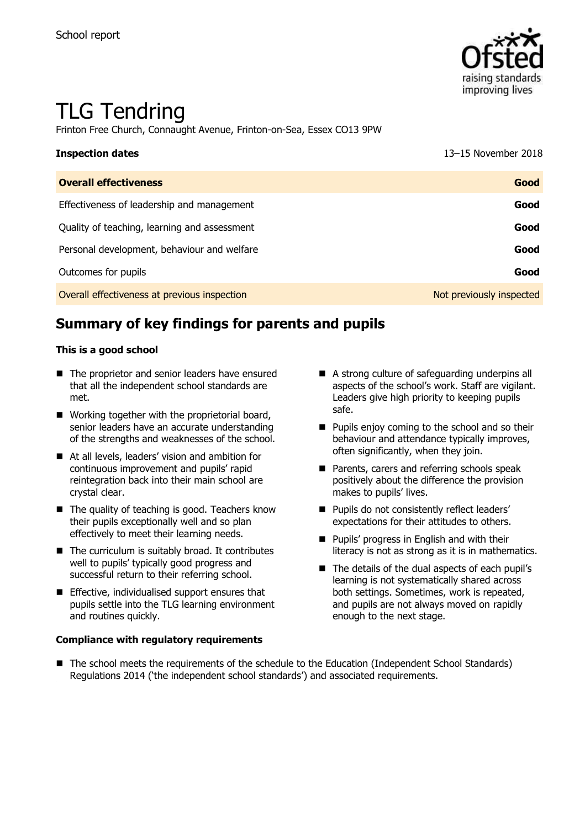

# TLG Tendring

Frinton Free Church, Connaught Avenue, Frinton-on-Sea, Essex CO13 9PW

| <b>Inspection dates</b>                      | 13-15 November 2018      |
|----------------------------------------------|--------------------------|
| <b>Overall effectiveness</b>                 | Good                     |
| Effectiveness of leadership and management   | Good                     |
| Quality of teaching, learning and assessment | Good                     |
| Personal development, behaviour and welfare  | Good                     |
| Outcomes for pupils                          | Good                     |
| Overall effectiveness at previous inspection | Not previously inspected |

# **Summary of key findings for parents and pupils**

#### **This is a good school**

- The proprietor and senior leaders have ensured that all the independent school standards are met.
- Working together with the proprietorial board, senior leaders have an accurate understanding of the strengths and weaknesses of the school.
- At all levels, leaders' vision and ambition for continuous improvement and pupils' rapid reintegration back into their main school are crystal clear.
- The quality of teaching is good. Teachers know their pupils exceptionally well and so plan effectively to meet their learning needs.
- $\blacksquare$  The curriculum is suitably broad. It contributes well to pupils' typically good progress and successful return to their referring school.
- **Effective, individualised support ensures that** pupils settle into the TLG learning environment and routines quickly.

#### **Compliance with regulatory requirements**

- A strong culture of safeguarding underpins all aspects of the school's work. Staff are vigilant. Leaders give high priority to keeping pupils safe.
- **Pupils enjoy coming to the school and so their** behaviour and attendance typically improves, often significantly, when they join.
- **Parents, carers and referring schools speak** positively about the difference the provision makes to pupils' lives.
- **Pupils do not consistently reflect leaders'** expectations for their attitudes to others.
- **Pupils' progress in English and with their** literacy is not as strong as it is in mathematics.
- $\blacksquare$  The details of the dual aspects of each pupil's learning is not systematically shared across both settings. Sometimes, work is repeated, and pupils are not always moved on rapidly enough to the next stage.
- The school meets the requirements of the schedule to the Education (Independent School Standards) Regulations 2014 ('the independent school standards') and associated requirements.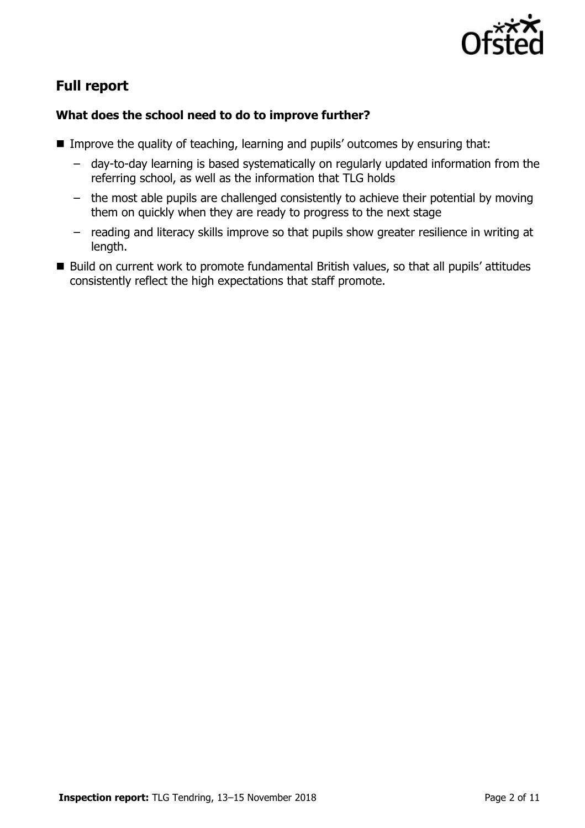

# **Full report**

### **What does the school need to do to improve further?**

- Improve the quality of teaching, learning and pupils' outcomes by ensuring that:
	- day-to-day learning is based systematically on regularly updated information from the referring school, as well as the information that TLG holds
	- the most able pupils are challenged consistently to achieve their potential by moving them on quickly when they are ready to progress to the next stage
	- reading and literacy skills improve so that pupils show greater resilience in writing at length.
- Build on current work to promote fundamental British values, so that all pupils' attitudes consistently reflect the high expectations that staff promote.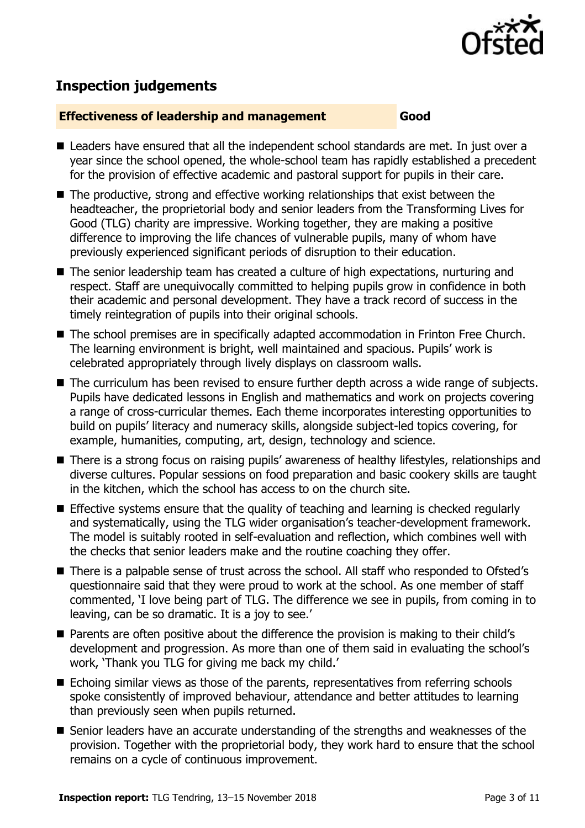

# **Inspection judgements**

#### **Effectiveness of leadership and management Good**

- Leaders have ensured that all the independent school standards are met. In just over a year since the school opened, the whole-school team has rapidly established a precedent for the provision of effective academic and pastoral support for pupils in their care.
- The productive, strong and effective working relationships that exist between the headteacher, the proprietorial body and senior leaders from the Transforming Lives for Good (TLG) charity are impressive. Working together, they are making a positive difference to improving the life chances of vulnerable pupils, many of whom have previously experienced significant periods of disruption to their education.
- The senior leadership team has created a culture of high expectations, nurturing and respect. Staff are unequivocally committed to helping pupils grow in confidence in both their academic and personal development. They have a track record of success in the timely reintegration of pupils into their original schools.
- The school premises are in specifically adapted accommodation in Frinton Free Church. The learning environment is bright, well maintained and spacious. Pupils' work is celebrated appropriately through lively displays on classroom walls.
- The curriculum has been revised to ensure further depth across a wide range of subjects. Pupils have dedicated lessons in English and mathematics and work on projects covering a range of cross-curricular themes. Each theme incorporates interesting opportunities to build on pupils' literacy and numeracy skills, alongside subject-led topics covering, for example, humanities, computing, art, design, technology and science.
- There is a strong focus on raising pupils' awareness of healthy lifestyles, relationships and diverse cultures. Popular sessions on food preparation and basic cookery skills are taught in the kitchen, which the school has access to on the church site.
- **E** Effective systems ensure that the quality of teaching and learning is checked regularly and systematically, using the TLG wider organisation's teacher-development framework. The model is suitably rooted in self-evaluation and reflection, which combines well with the checks that senior leaders make and the routine coaching they offer.
- There is a palpable sense of trust across the school. All staff who responded to Ofsted's questionnaire said that they were proud to work at the school. As one member of staff commented, 'I love being part of TLG. The difference we see in pupils, from coming in to leaving, can be so dramatic. It is a joy to see.'
- Parents are often positive about the difference the provision is making to their child's development and progression. As more than one of them said in evaluating the school's work, 'Thank you TLG for giving me back my child.'
- Echoing similar views as those of the parents, representatives from referring schools spoke consistently of improved behaviour, attendance and better attitudes to learning than previously seen when pupils returned.
- Senior leaders have an accurate understanding of the strengths and weaknesses of the provision. Together with the proprietorial body, they work hard to ensure that the school remains on a cycle of continuous improvement.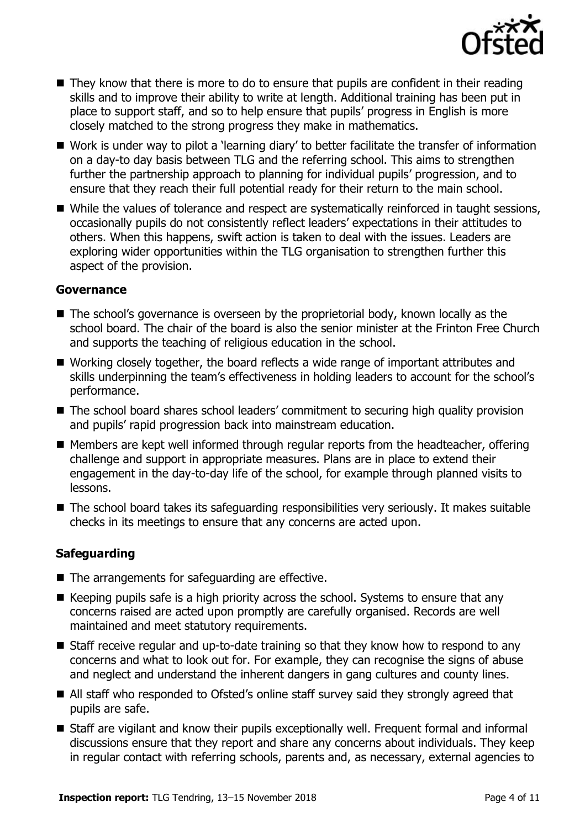

- They know that there is more to do to ensure that pupils are confident in their reading skills and to improve their ability to write at length. Additional training has been put in place to support staff, and so to help ensure that pupils' progress in English is more closely matched to the strong progress they make in mathematics.
- Work is under way to pilot a 'learning diary' to better facilitate the transfer of information on a day-to day basis between TLG and the referring school. This aims to strengthen further the partnership approach to planning for individual pupils' progression, and to ensure that they reach their full potential ready for their return to the main school.
- While the values of tolerance and respect are systematically reinforced in taught sessions, occasionally pupils do not consistently reflect leaders' expectations in their attitudes to others. When this happens, swift action is taken to deal with the issues. Leaders are exploring wider opportunities within the TLG organisation to strengthen further this aspect of the provision.

#### **Governance**

- The school's governance is overseen by the proprietorial body, known locally as the school board. The chair of the board is also the senior minister at the Frinton Free Church and supports the teaching of religious education in the school.
- Working closely together, the board reflects a wide range of important attributes and skills underpinning the team's effectiveness in holding leaders to account for the school's performance.
- The school board shares school leaders' commitment to securing high quality provision and pupils' rapid progression back into mainstream education.
- Members are kept well informed through regular reports from the headteacher, offering challenge and support in appropriate measures. Plans are in place to extend their engagement in the day-to-day life of the school, for example through planned visits to lessons.
- The school board takes its safeguarding responsibilities very seriously. It makes suitable checks in its meetings to ensure that any concerns are acted upon.

### **Safeguarding**

- The arrangements for safeguarding are effective.
- $\blacksquare$  Keeping pupils safe is a high priority across the school. Systems to ensure that any concerns raised are acted upon promptly are carefully organised. Records are well maintained and meet statutory requirements.
- Staff receive regular and up-to-date training so that they know how to respond to any concerns and what to look out for. For example, they can recognise the signs of abuse and neglect and understand the inherent dangers in gang cultures and county lines.
- All staff who responded to Ofsted's online staff survey said they strongly agreed that pupils are safe.
- Staff are vigilant and know their pupils exceptionally well. Frequent formal and informal discussions ensure that they report and share any concerns about individuals. They keep in regular contact with referring schools, parents and, as necessary, external agencies to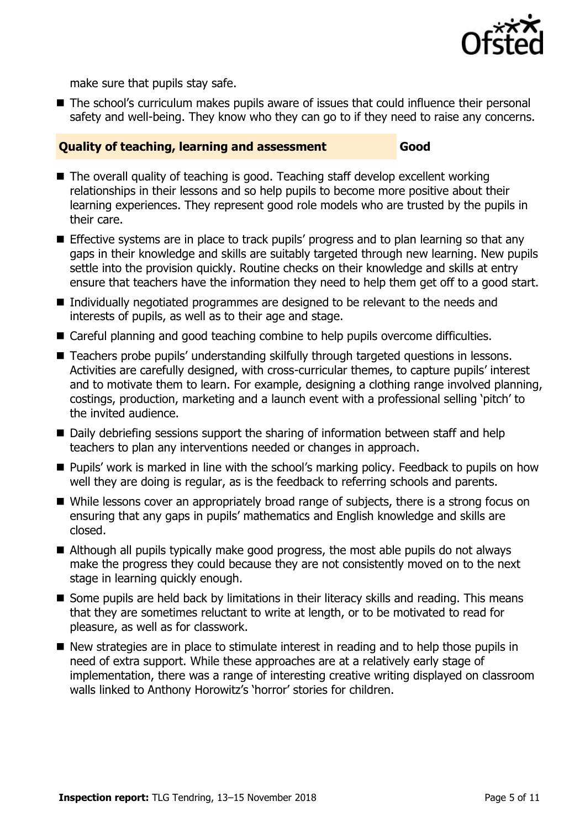

make sure that pupils stay safe.

■ The school's curriculum makes pupils aware of issues that could influence their personal safety and well-being. They know who they can go to if they need to raise any concerns.

#### **Quality of teaching, learning and assessment Good**

- The overall quality of teaching is good. Teaching staff develop excellent working relationships in their lessons and so help pupils to become more positive about their learning experiences. They represent good role models who are trusted by the pupils in their care.
- **Effective systems are in place to track pupils' progress and to plan learning so that any** gaps in their knowledge and skills are suitably targeted through new learning. New pupils settle into the provision quickly. Routine checks on their knowledge and skills at entry ensure that teachers have the information they need to help them get off to a good start.
- Individually negotiated programmes are designed to be relevant to the needs and interests of pupils, as well as to their age and stage.
- Careful planning and good teaching combine to help pupils overcome difficulties.
- Teachers probe pupils' understanding skilfully through targeted questions in lessons. Activities are carefully designed, with cross-curricular themes, to capture pupils' interest and to motivate them to learn. For example, designing a clothing range involved planning, costings, production, marketing and a launch event with a professional selling 'pitch' to the invited audience.
- Daily debriefing sessions support the sharing of information between staff and help teachers to plan any interventions needed or changes in approach.
- Pupils' work is marked in line with the school's marking policy. Feedback to pupils on how well they are doing is regular, as is the feedback to referring schools and parents.
- While lessons cover an appropriately broad range of subjects, there is a strong focus on ensuring that any gaps in pupils' mathematics and English knowledge and skills are closed.
- Although all pupils typically make good progress, the most able pupils do not always make the progress they could because they are not consistently moved on to the next stage in learning quickly enough.
- Some pupils are held back by limitations in their literacy skills and reading. This means that they are sometimes reluctant to write at length, or to be motivated to read for pleasure, as well as for classwork.
- New strategies are in place to stimulate interest in reading and to help those pupils in need of extra support. While these approaches are at a relatively early stage of implementation, there was a range of interesting creative writing displayed on classroom walls linked to Anthony Horowitz's 'horror' stories for children.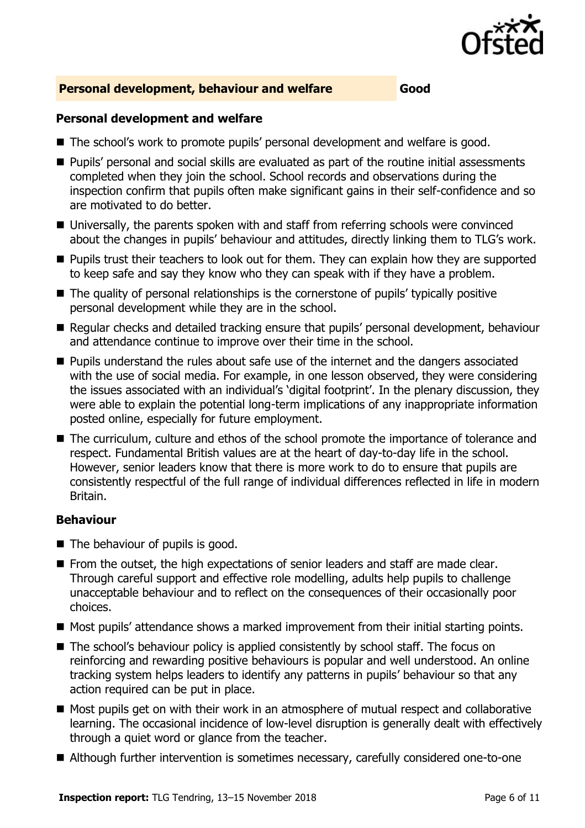

#### **Personal development, behaviour and welfare Good**

#### **Personal development and welfare**

- The school's work to promote pupils' personal development and welfare is good.
- **Pupils' personal and social skills are evaluated as part of the routine initial assessments** completed when they join the school. School records and observations during the inspection confirm that pupils often make significant gains in their self-confidence and so are motivated to do better.
- Universally, the parents spoken with and staff from referring schools were convinced about the changes in pupils' behaviour and attitudes, directly linking them to TLG's work.
- Pupils trust their teachers to look out for them. They can explain how they are supported to keep safe and say they know who they can speak with if they have a problem.
- The quality of personal relationships is the cornerstone of pupils' typically positive personal development while they are in the school.
- Regular checks and detailed tracking ensure that pupils' personal development, behaviour and attendance continue to improve over their time in the school.
- **Pupils understand the rules about safe use of the internet and the dangers associated** with the use of social media. For example, in one lesson observed, they were considering the issues associated with an individual's 'digital footprint'. In the plenary discussion, they were able to explain the potential long-term implications of any inappropriate information posted online, especially for future employment.
- The curriculum, culture and ethos of the school promote the importance of tolerance and respect. Fundamental British values are at the heart of day-to-day life in the school. However, senior leaders know that there is more work to do to ensure that pupils are consistently respectful of the full range of individual differences reflected in life in modern Britain.

#### **Behaviour**

- The behaviour of pupils is good.
- **From the outset, the high expectations of senior leaders and staff are made clear.** Through careful support and effective role modelling, adults help pupils to challenge unacceptable behaviour and to reflect on the consequences of their occasionally poor choices.
- Most pupils' attendance shows a marked improvement from their initial starting points.
- The school's behaviour policy is applied consistently by school staff. The focus on reinforcing and rewarding positive behaviours is popular and well understood. An online tracking system helps leaders to identify any patterns in pupils' behaviour so that any action required can be put in place.
- Most pupils get on with their work in an atmosphere of mutual respect and collaborative learning. The occasional incidence of low-level disruption is generally dealt with effectively through a quiet word or glance from the teacher.
- Although further intervention is sometimes necessary, carefully considered one-to-one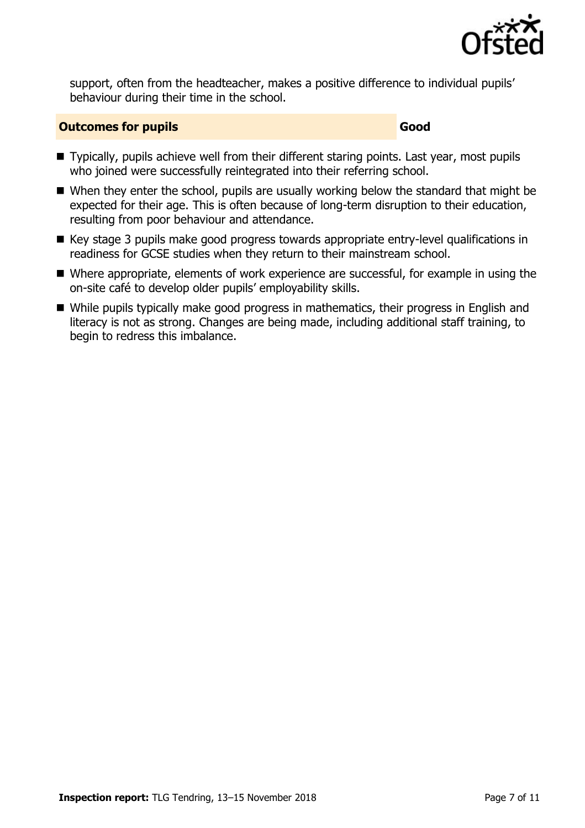

support, often from the headteacher, makes a positive difference to individual pupils' behaviour during their time in the school.

#### **Outcomes for pupils Good Good**

- Typically, pupils achieve well from their different staring points. Last year, most pupils who joined were successfully reintegrated into their referring school.
- When they enter the school, pupils are usually working below the standard that might be expected for their age. This is often because of long-term disruption to their education, resulting from poor behaviour and attendance.
- Key stage 3 pupils make good progress towards appropriate entry-level qualifications in readiness for GCSE studies when they return to their mainstream school.
- Where appropriate, elements of work experience are successful, for example in using the on-site café to develop older pupils' employability skills.
- While pupils typically make good progress in mathematics, their progress in English and literacy is not as strong. Changes are being made, including additional staff training, to begin to redress this imbalance.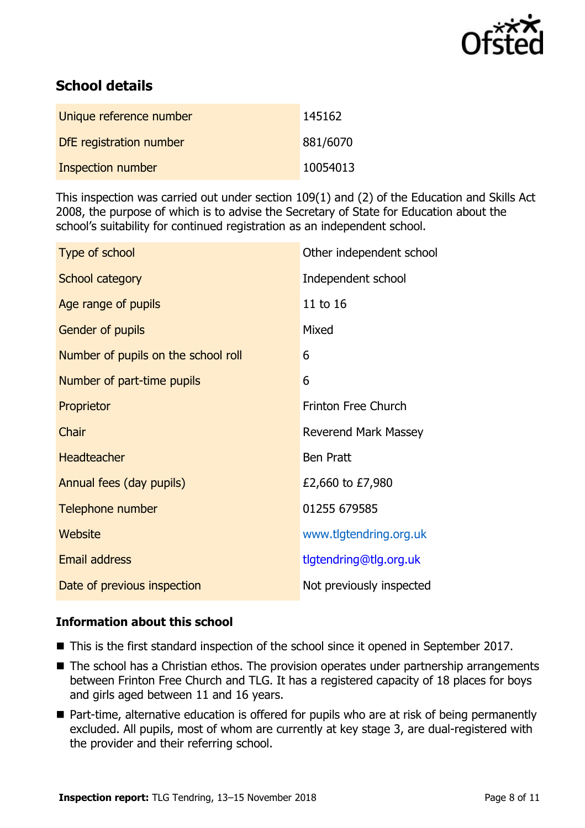

# **School details**

| Unique reference number  | 145162   |
|--------------------------|----------|
| DfE registration number  | 881/6070 |
| <b>Inspection number</b> | 10054013 |

This inspection was carried out under section 109(1) and (2) of the Education and Skills Act 2008, the purpose of which is to advise the Secretary of State for Education about the school's suitability for continued registration as an independent school.

| Type of school                      | Other independent school    |
|-------------------------------------|-----------------------------|
| School category                     | Independent school          |
| Age range of pupils                 | 11 to 16                    |
| <b>Gender of pupils</b>             | Mixed                       |
| Number of pupils on the school roll | 6                           |
| Number of part-time pupils          | 6                           |
| Proprietor                          | <b>Frinton Free Church</b>  |
| Chair                               | <b>Reverend Mark Massey</b> |
| <b>Headteacher</b>                  | <b>Ben Pratt</b>            |
| Annual fees (day pupils)            | £2,660 to £7,980            |
| Telephone number                    | 01255 679585                |
| Website                             | www.tlgtendring.org.uk      |
| <b>Email address</b>                | tlgtendring@tlg.org.uk      |
| Date of previous inspection         | Not previously inspected    |

### **Information about this school**

- This is the first standard inspection of the school since it opened in September 2017.
- The school has a Christian ethos. The provision operates under partnership arrangements between Frinton Free Church and TLG. It has a registered capacity of 18 places for boys and girls aged between 11 and 16 years.
- Part-time, alternative education is offered for pupils who are at risk of being permanently excluded. All pupils, most of whom are currently at key stage 3, are dual-registered with the provider and their referring school.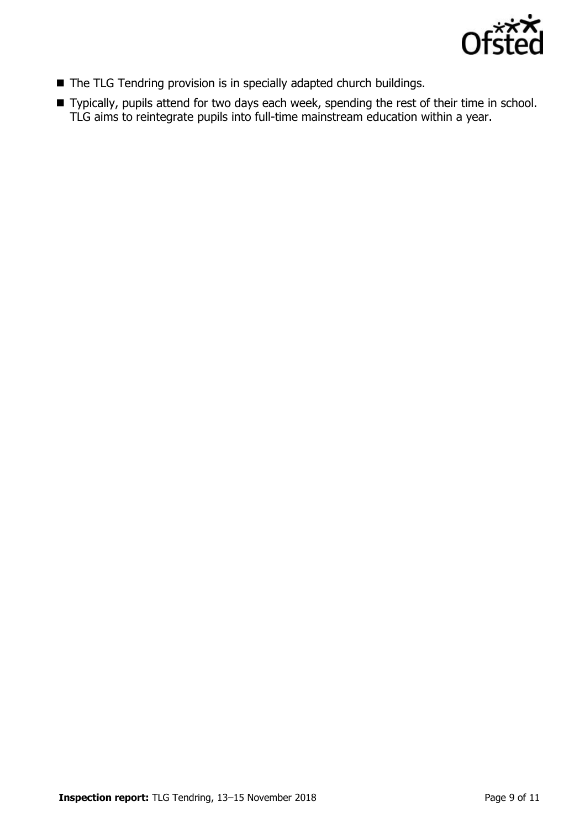

- The TLG Tendring provision is in specially adapted church buildings.
- Typically, pupils attend for two days each week, spending the rest of their time in school. TLG aims to reintegrate pupils into full-time mainstream education within a year.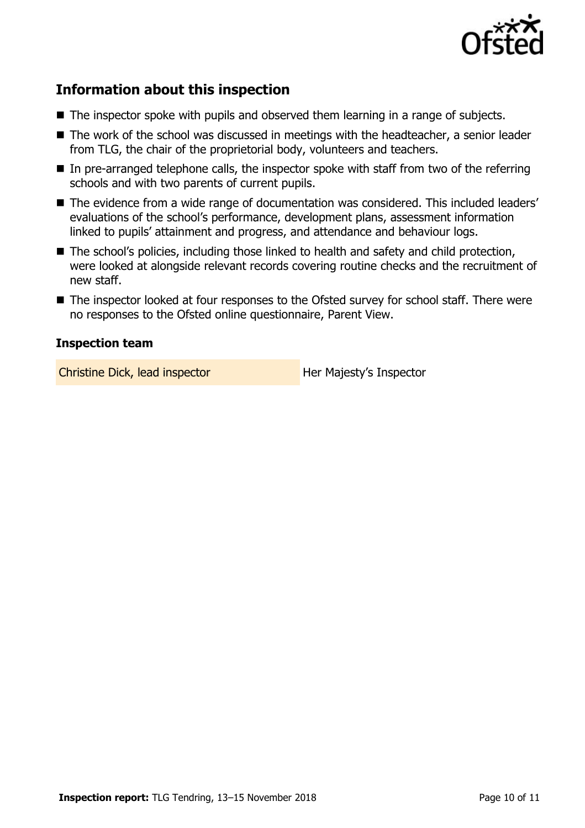

# **Information about this inspection**

- The inspector spoke with pupils and observed them learning in a range of subjects.
- The work of the school was discussed in meetings with the headteacher, a senior leader from TLG, the chair of the proprietorial body, volunteers and teachers.
- $\blacksquare$  In pre-arranged telephone calls, the inspector spoke with staff from two of the referring schools and with two parents of current pupils.
- The evidence from a wide range of documentation was considered. This included leaders' evaluations of the school's performance, development plans, assessment information linked to pupils' attainment and progress, and attendance and behaviour logs.
- The school's policies, including those linked to health and safety and child protection, were looked at alongside relevant records covering routine checks and the recruitment of new staff.
- The inspector looked at four responses to the Ofsted survey for school staff. There were no responses to the Ofsted online questionnaire, Parent View.

### **Inspection team**

Christine Dick, lead inspector **Her Majesty's Inspector**